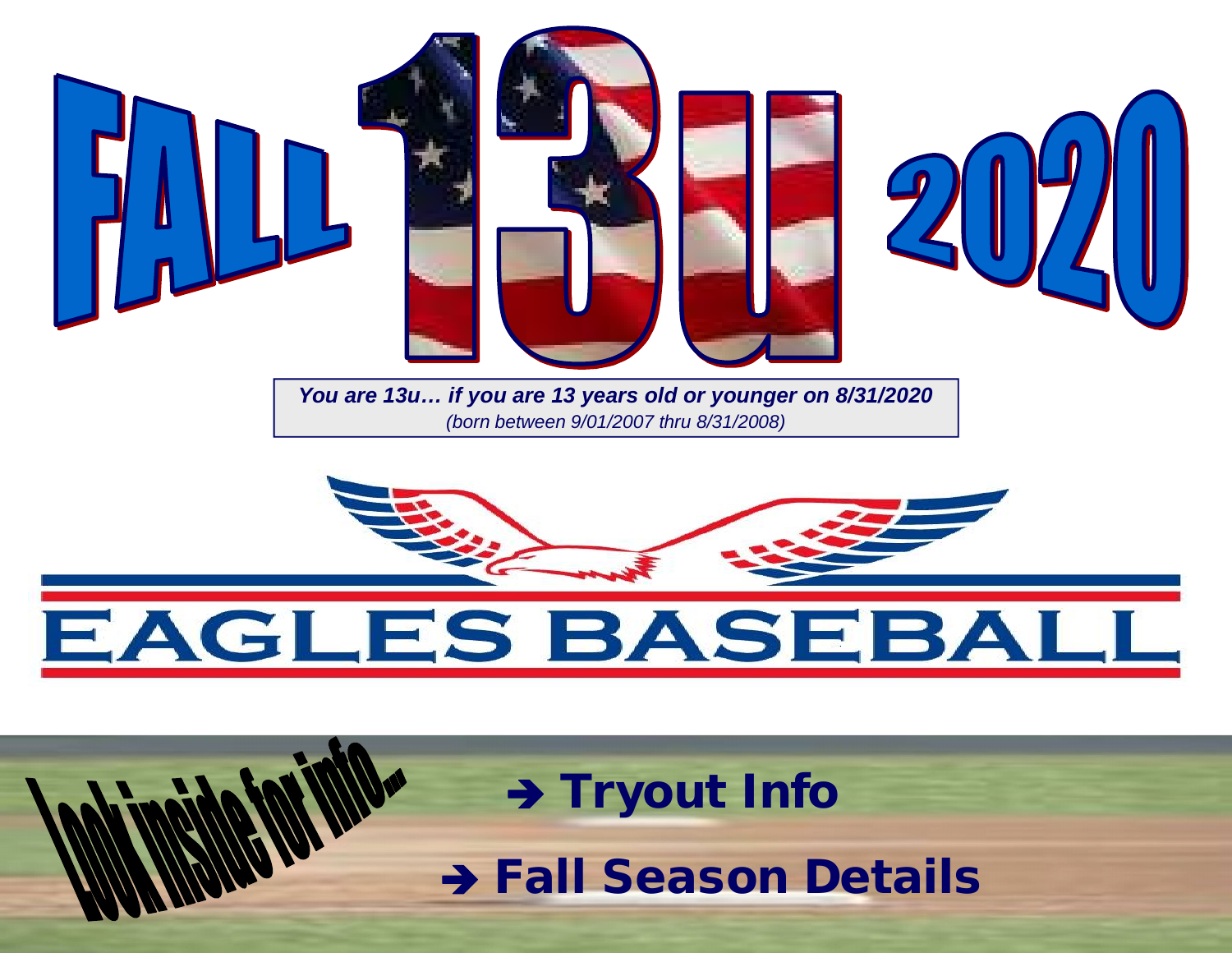

*You are 13u… if you are 13 years old or younger on 8/31/2020 (born between 9/01/2007 thru 8/31/2008)*



# EAGLES BASEBA

→ **Tryout Info** 

 **Fall Season Details**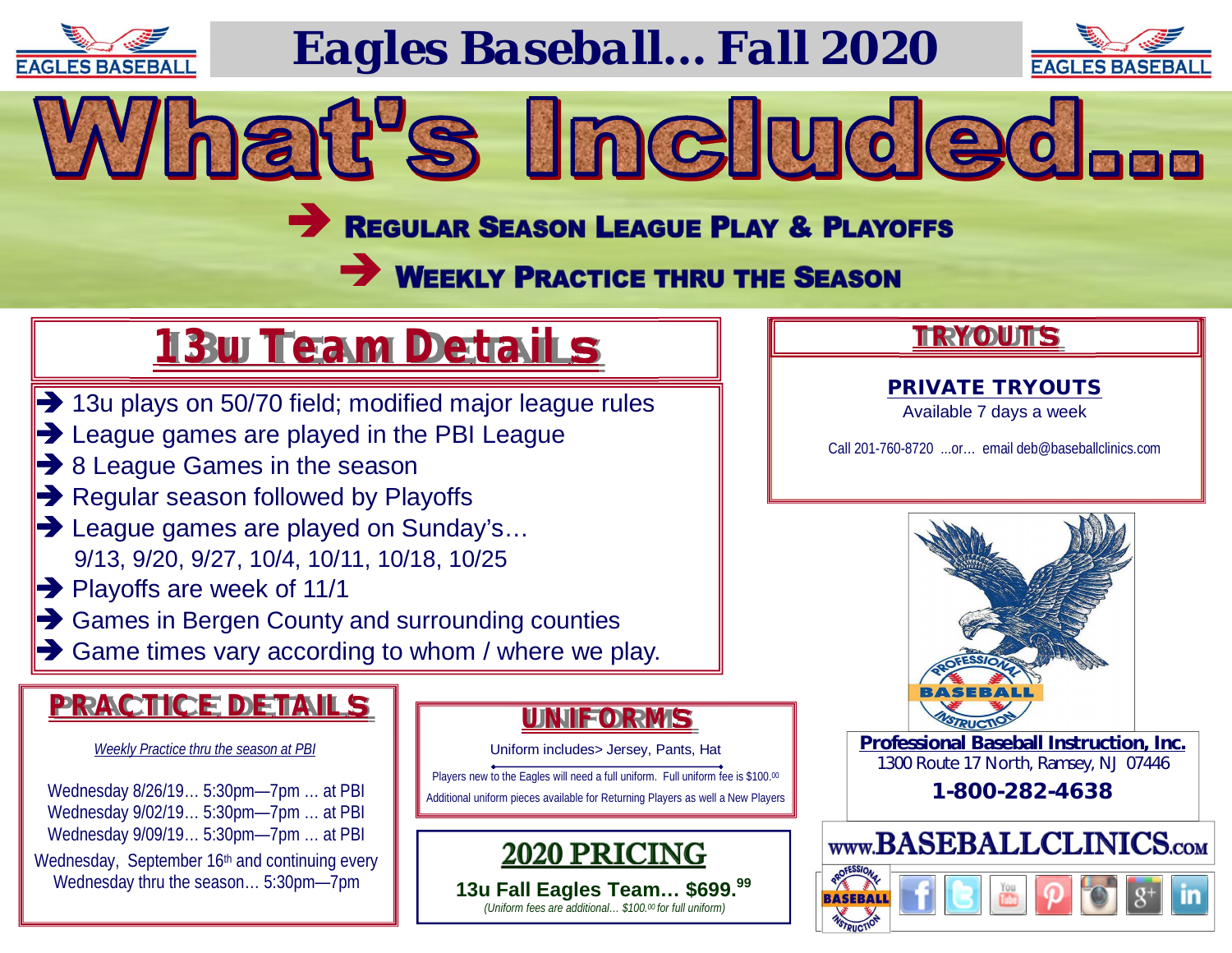

# *Eagles Baseball… Fall 2020*



# REGULAR SEASON LEAGUE PLAY & PLAYOFFS

What's Included...

# **WEEKLY PRACTICE THRU THE SEASON**

# **13u Team Details**

- 13u plays on 50/70 field; modified major league rules
- **Example 2** League games are played in the PBI League
- **→ 8 League Games in the season**
- $\rightarrow$  Regular season followed by Playoffs
- **→ League games are played on Sunday's...** 9/13, 9/20, 9/27, 10/4, 10/11, 10/18, 10/25
- $\rightarrow$  Playoffs are week of 11/1
- Games in Bergen County and surrounding counties
- $\rightarrow$  Game times vary according to whom / where we play.

### **PRACTICE DETAILS**

#### *Weekly Practice thru the season at PBI*

Wednesday 8/26/19… 5:30pm—7pm … at PBI Wednesday 9/02/19… 5:30pm—7pm … at PBI Wednesday 9/09/19… 5:30pm—7pm … at PBI Wednesday, September 16th and continuing every Wednesday thru the season… 5:30pm—7pm

### **UNIFORMS**

Uniform includes> Jersey, Pants, Hat

Players new to the Eagles will need a full uniform. Full uniform fee is \$100.00 Additional uniform pieces available for Returning Players as well a New Players

2020 PRICIN **13u Fall Eagles Team… \$699.<sup>99</sup>**

*(Uniform fees are additional… \$100.00 for full uniform)* 

### **TRYOUTS**

#### **PRIVATE TRYOUTS**

Available 7 days a week

Call 201-760-8720 ...or… email [deb@baseballclinics.com](mailto:deb@baseballclinics.com)



**Professional Baseball Instruction, Inc.** 1300 Route 17 North, Ramsey, NJ 07446

**1-800-282-4638**